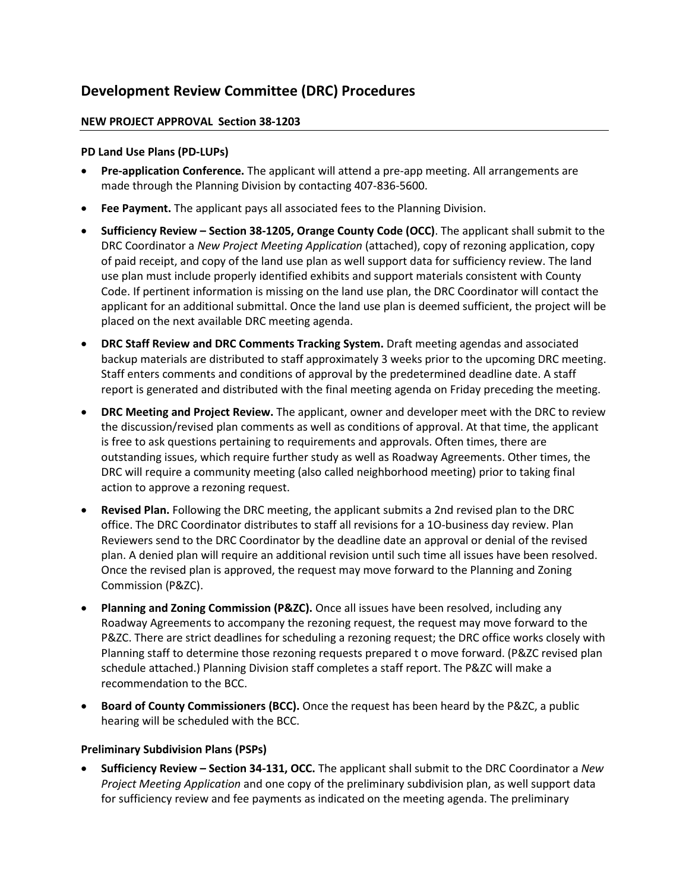# **Development Review Committee (DRC) Procedures**

## **NEW PROJECT APPROVAL Section 38-1203**

### **PD Land Use Plans (PD-LUPs)**

- **Pre-application Conference.** The applicant will attend a pre-app meeting. All arrangements are made through the Planning Division by contacting 407-836-5600.
- **Fee Payment.** The applicant pays all associated fees to the Planning Division.
- **Sufficiency Review Section 38-1205, Orange County Code (OCC)**. The applicant shall submit to the DRC Coordinator a *New Project Meeting Application* (attached), copy of rezoning application, copy of paid receipt, and copy of the land use plan as well support data for sufficiency review. The land use plan must include properly identified exhibits and support materials consistent with County Code. If pertinent information is missing on the land use plan, the DRC Coordinator will contact the applicant for an additional submittal. Once the land use plan is deemed sufficient, the project will be placed on the next available DRC meeting agenda.
- **DRC Staff Review and DRC Comments Tracking System.** Draft meeting agendas and associated backup materials are distributed to staff approximately 3 weeks prior to the upcoming DRC meeting. Staff enters comments and conditions of approval by the predetermined deadline date. A staff report is generated and distributed with the final meeting agenda on Friday preceding the meeting.
- **DRC Meeting and Project Review.** The applicant, owner and developer meet with the DRC to review the discussion/revised plan comments as well as conditions of approval. At that time, the applicant is free to ask questions pertaining to requirements and approvals. Often times, there are outstanding issues, which require further study as well as Roadway Agreements. Other times, the DRC will require a community meeting (also called neighborhood meeting) prior to taking final action to approve a rezoning request.
- **Revised Plan.** Following the DRC meeting, the applicant submits a 2nd revised plan to the DRC office. The DRC Coordinator distributes to staff all revisions for a 1O-business day review. Plan Reviewers send to the DRC Coordinator by the deadline date an approval or denial of the revised plan. A denied plan will require an additional revision until such time all issues have been resolved. Once the revised plan is approved, the request may move forward to the Planning and Zoning Commission (P&ZC).
- **Planning and Zoning Commission (P&ZC).** Once all issues have been resolved, including any Roadway Agreements to accompany the rezoning request, the request may move forward to the P&ZC. There are strict deadlines for scheduling a rezoning request; the DRC office works closely with Planning staff to determine those rezoning requests prepared t o move forward. (P&ZC revised plan schedule attached.) Planning Division staff completes a staff report. The P&ZC will make a recommendation to the BCC.
- **Board of County Commissioners (BCC).** Once the request has been heard by the P&ZC, a public hearing will be scheduled with the BCC.

#### **Preliminary Subdivision Plans (PSPs)**

• Sufficiency Review - Section 34-131, OCC. The applicant shall submit to the DRC Coordinator a New Project Meeting Application and one copy of the preliminary subdivision plan, as well support data for sufficiency review and fee payments as indicated on the meeting agenda. The preliminary **as assumently review – section sufficiency occ.** The applicant shall subfill to the pric coordinator and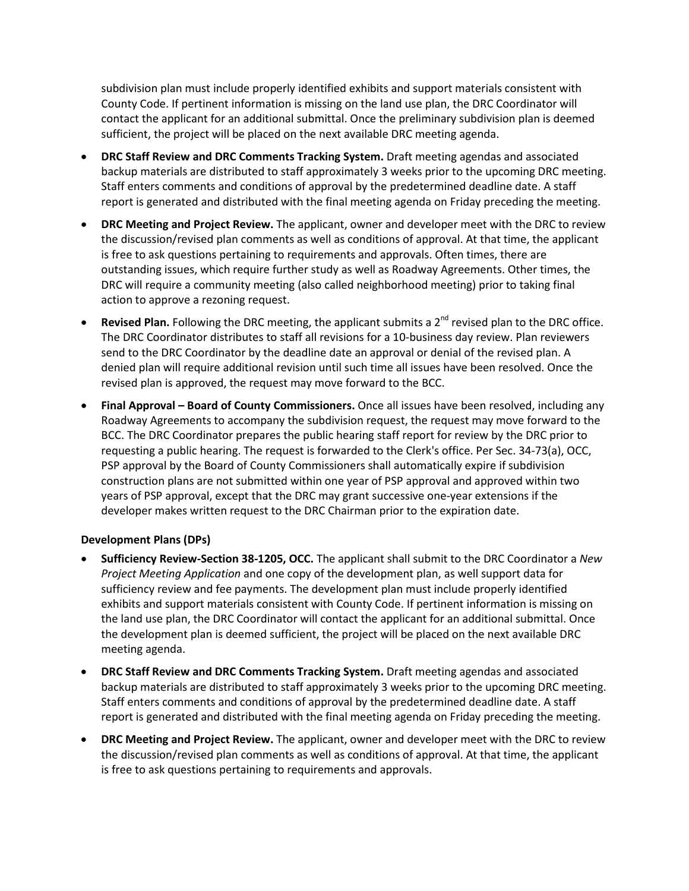subdivision plan must include properly identified exhibits and support materials consistent with County Code. If pertinent information is missing on the land use plan, the DRC Coordinator will contact the applicant for an additional submittal. Once the preliminary subdivision plan is deemed sufficient, the project will be placed on the next available DRC meeting agenda.

- **DRC Staff Review and DRC Comments Tracking System.** Draft meeting agendas and associated backup materials are distributed to staff approximately 3 weeks prior to the upcoming DRC meeting. Staff enters comments and conditions of approval by the predetermined deadline date. A staff report is generated and distributed with the final meeting agenda on Friday preceding the meeting.
- **DRC Meeting and Project Review.** The applicant, owner and developer meet with the DRC to review the discussion/revised plan comments as well as conditions of approval. At that time, the applicant is free to ask questions pertaining to requirements and approvals. Often times, there are outstanding issues, which require further study as well as Roadway Agreements. Other times, the DRC will require a community meeting (also called neighborhood meeting) prior to taking final action to approve a rezoning request.
- **Revised Plan.** Following the DRC meeting, the applicant submits a  $2^{nd}$  revised plan to the DRC office. The DRC Coordinator distributes to staff all revisions for a 10-business day review. Plan reviewers send to the DRC Coordinator by the deadline date an approval or denial of the revised plan. A denied plan will require additional revision until such time all issues have been resolved. Once the revised plan is approved, the request may move forward to the BCC.
- **Final Approval Board of County Commissioners.** Once all issues have been resolved, including any Roadway Agreements to accompany the subdivision request, the request may move forward to the BCC. The DRC Coordinator prepares the public hearing staff report for review by the DRC prior to requesting a public hearing. The request is forwarded to the Clerk's office. Per Sec. 34-73(a), OCC, PSP approval by the Board of County Commissioners shall automatically expire if subdivision construction plans are not submitted within one year of PSP approval and approved within two years of PSP approval, except that the DRC may grant successive one-year extensions if the developer makes written request to the DRC Chairman prior to the expiration date.

#### **Development Plans (DPs)**

- **Sufficiency Review-Section 38-1205, OCC.** The applicant shall submit to the DRC Coordinator a *New Project Meeting Application* and one copy of the development plan, as well support data for sufficiency review and fee payments. The development plan must include properly identified exhibits and support materials consistent with County Code. If pertinent information is missing on the land use plan, the DRC Coordinator will contact the applicant for an additional submittal. Once the development plan is deemed sufficient, the project will be placed on the next available DRC meeting agenda.
- **DRC Staff Review and DRC Comments Tracking System.** Draft meeting agendas and associated backup materials are distributed to staff approximately 3 weeks prior to the upcoming DRC meeting. Staff enters comments and conditions of approval by the predetermined deadline date. A staff report is generated and distributed with the final meeting agenda on Friday preceding the meeting.
- **DRC Meeting and Project Review.** The applicant, owner and developer meet with the DRC to review the discussion/revised plan comments as well as conditions of approval. At that time, the applicant is free to ask questions pertaining to requirements and approvals.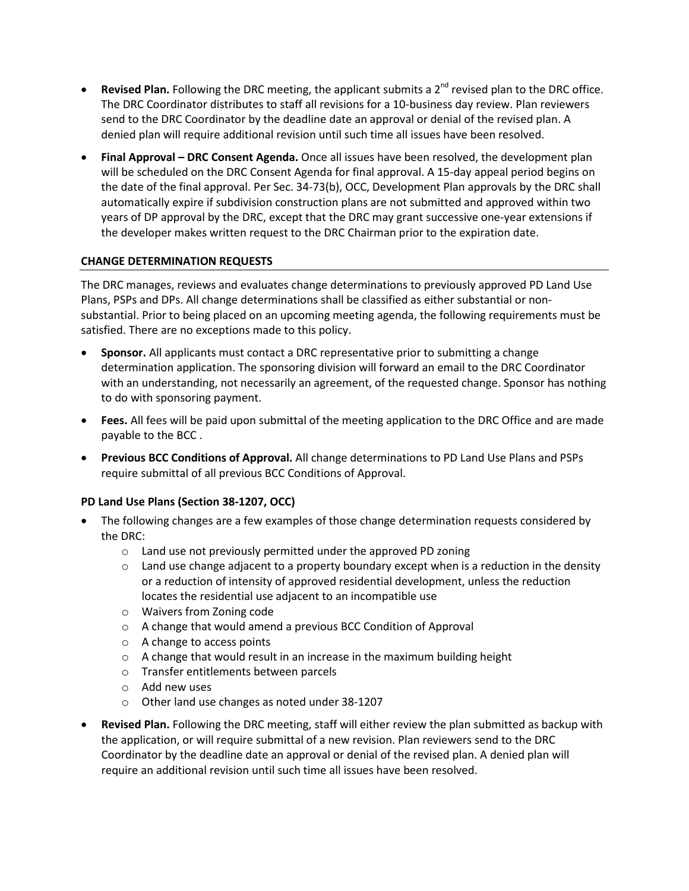- **Revised Plan.** Following the DRC meeting, the applicant submits a  $2^{nd}$  revised plan to the DRC office. The DRC Coordinator distributes to staff all revisions for a 10-business day review. Plan reviewers send to the DRC Coordinator by the deadline date an approval or denial of the revised plan. A denied plan will require additional revision until such time all issues have been resolved.
- **Final Approval DRC Consent Agenda.** Once all issues have been resolved, the development plan will be scheduled on the DRC Consent Agenda for final approval. A 15-day appeal period begins on the date of the final approval. Per Sec. 34-73(b), OCC, Development Plan approvals by the DRC shall automatically expire if subdivision construction plans are not submitted and approved within two years of DP approval by the DRC, except that the DRC may grant successive one-year extensions if the developer makes written request to the DRC Chairman prior to the expiration date.

#### **CHANGE DETERMINATION REQUESTS**

The DRC manages, reviews and evaluates change determinations to previously approved PD Land Use Plans, PSPs and DPs. All change determinations shall be classified as either substantial or nonsubstantial. Prior to being placed on an upcoming meeting agenda, the following requirements must be satisfied. There are no exceptions made to this policy.

- **Sponsor.** All applicants must contact a DRC representative prior to submitting a change determination application. The sponsoring division will forward an email to the DRC Coordinator with an understanding, not necessarily an agreement, of the requested change. Sponsor has nothing to do with sponsoring payment.
- **Fees.** All fees will be paid upon submittal of the meeting application to the DRC Office and are made payable to the BCC .
- **Previous BCC Conditions of Approval.** All change determinations to PD Land Use Plans and PSPs require submittal of all previous BCC Conditions of Approval.

## **PD Land Use Plans (Section 38-1207, OCC)**

- The following changes are a few examples of those change determination requests considered by the DRC:
	- o Land use not previously permitted under the approved PD zoning
	- $\circ$  Land use change adjacent to a property boundary except when is a reduction in the density or a reduction of intensity of approved residential development, unless the reduction locates the residential use adjacent to an incompatible use
	- o Waivers from Zoning code
	- o A change that would amend a previous BCC Condition of Approval
	- o A change to access points
	- o A change that would result in an increase in the maximum building height
	- o Transfer entitlements between parcels
	- o Add new uses
	- o Other land use changes as noted under 38-1207
- **Revised Plan.** Following the DRC meeting, staff will either review the plan submitted as backup with the application, or will require submittal of a new revision. Plan reviewers send to the DRC Coordinator by the deadline date an approval or denial of the revised plan. A denied plan will require an additional revision until such time all issues have been resolved.